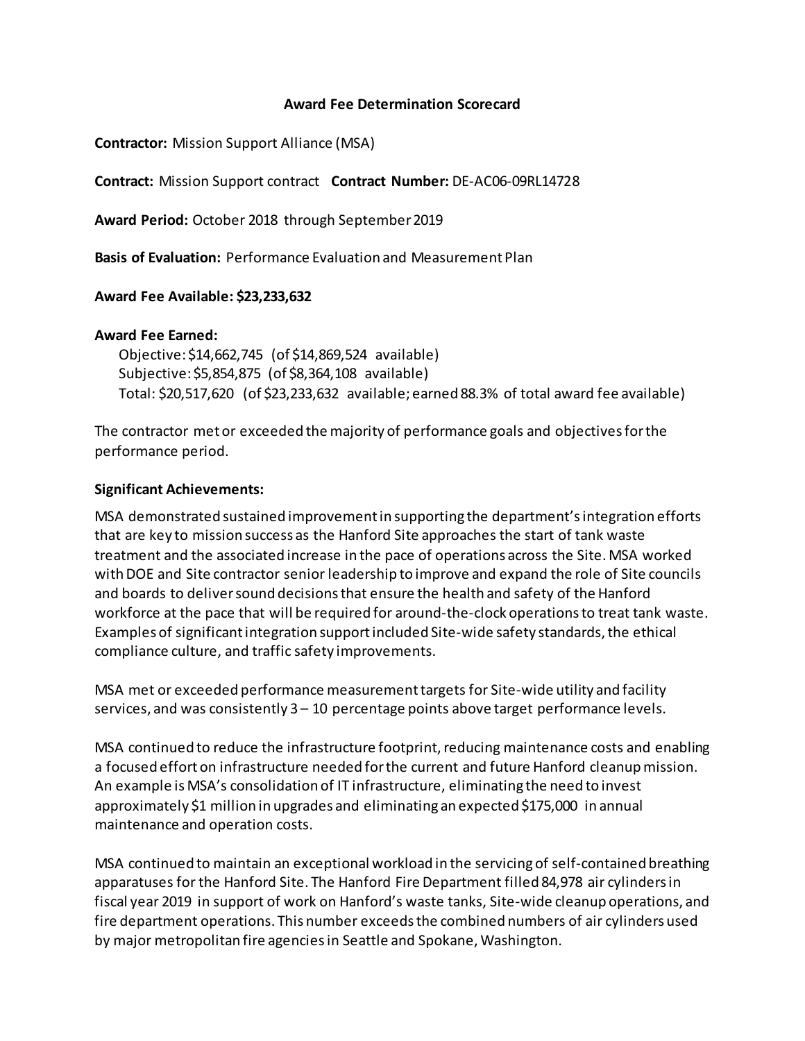### **Award Fee Determination Scorecard**

**Contractor:** Mission Support Alliance (MSA)

**Contract:** Mission Support contract **Contract Number:** DE-AC06-09RL14728

**Award Period:** October 2018 through September 2019

**Basis of Evaluation:** Performance Evaluation and Measurement Plan

## **Award Fee Available: \$23,233,632**

### **Award Fee Earned:**

Objective: \$14,662,745 (of \$14,869,524 available) Subjective: \$5,854,875 (of \$8,364,108 available) Total: \$20,517,620 (of \$23,233,632 available; earned 88.3% of total award fee available)

The contractor met or exceeded the majority of performance goals and objectives for the performance period.

## **Significant Achievements:**

MSA demonstrated sustained improvement in supporting the department'sintegration efforts that are key to mission success as the Hanford Site approaches the start of tank waste treatment and the associated increase in the pace of operations across the Site. MSA worked with DOE and Site contractor senior leadership to improve and expand the role of Site councils and boards to deliver sound decisions that ensure the health and safety of the Hanford workforce at the pace that will be required for around-the-clock operations to treat tank waste. Examples of significant integration support included Site-wide safety standards, the ethical compliance culture, and traffic safety improvements.

MSA met or exceeded performance measurement targets for Site-wide utility and facility services, and was consistently 3 – 10 percentage points above target performance levels.

MSA continued to reduce the infrastructure footprint, reducing maintenance costs and enabling a focused effort on infrastructure needed for the current and future Hanford cleanupmission. An example is MSA's consolidation of IT infrastructure, eliminating the need to invest approximately \$1 million in upgrades and eliminating an expected \$175,000 in annual maintenance and operation costs.

MSA continued to maintain an exceptional workload in the servicing of self-contained breathing apparatuses for the Hanford Site. The Hanford Fire Department filled 84,978 air cylinders in fiscal year 2019 in support of work on Hanford's waste tanks, Site-wide cleanup operations, and fire department operations. This number exceeds the combined numbers of air cylinders used by major metropolitan fire agenciesin Seattle and Spokane, Washington.